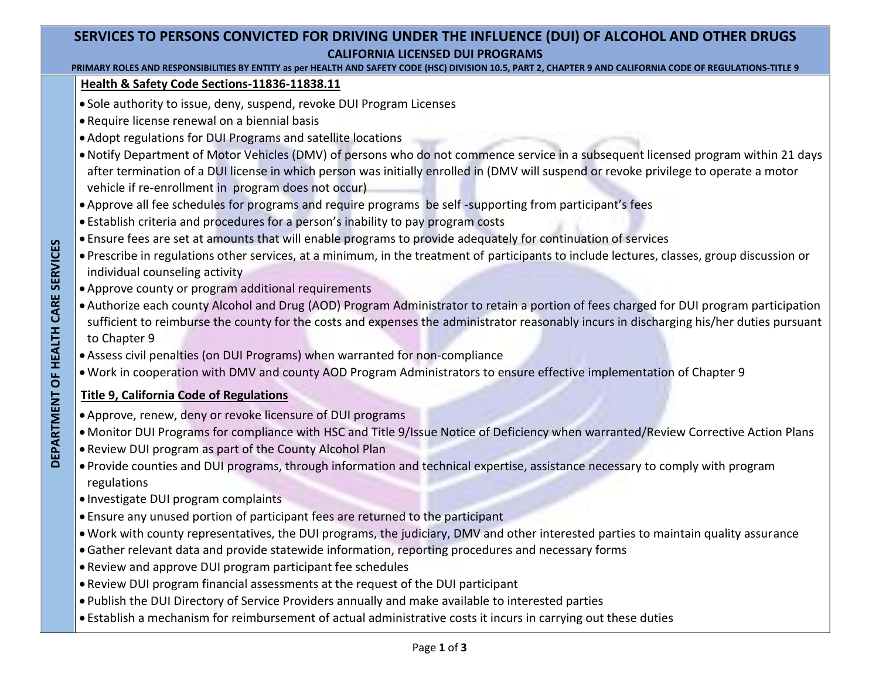# **SERVICES TO PERSONS CONVICTED FOR DRIVING UNDER THE INFLUENCE (DUI) OF ALCOHOL AND OTHER DRUGS CALIFORNIA LICENSED DUI PROGRAMS**

#### **PRIMARY ROLES AND RESPONSIBILITIES BY ENTITY as per HEALTH AND SAFETY CODE (HSC) DIVISION 10.5, PART 2, CHAPTER 9 AND CALIFORNIA CODE OF REGULATIONS-TITLE 9**

#### **Health & Safety Code Sections-11836-11838.11**

- Sole authority to issue, deny, suspend, revoke DUI Program Licenses
- Require license renewal on a biennial basis
- Adopt regulations for DUI Programs and satellite locations
- Notify Department of Motor Vehicles (DMV) of persons who do not commence service in a subsequent licensed program within 21 days after termination of a DUI license in which person was initially enrolled in (DMV will suspend or revoke privilege to operate a motor vehicle if re-enrollment in program does not occur)
- Approve all fee schedules for programs and require programs be self -supporting from participant's fees
- Establish criteria and procedures for a person's inability to pay program costs
- Ensure fees are set at amounts that will enable programs to provide adequately for continuation of services
- Prescribe in regulations other services, at a minimum, in the treatment of participants to include lectures, classes, group discussion or individual counseling activity
- Approve county or program additional requirements
- Authorize each county Alcohol and Drug (AOD) Program Administrator to retain a portion of fees charged for DUI program participation sufficient to reimburse the county for the costs and expenses the administrator reasonably incurs in discharging his/her duties pursuant to Chapter 9
- Assess civil penalties (on DUI Programs) when warranted for non-compliance
- Work in cooperation with DMV and county AOD Program Administrators to ensure effective implementation of Chapter 9

## **Title 9, California Code of Regulations**

- Approve, renew, deny or revoke licensure of DUI programs
- Monitor DUI Programs for compliance with HSC and Title 9/Issue Notice of Deficiency when warranted/Review Corrective Action Plans
- Review DUI program as part of the County Alcohol Plan
- Provide counties and DUI programs, through information and technical expertise, assistance necessary to comply with program regulations
- Investigate DUI program complaints
- Ensure any unused portion of participant fees are returned to the participant
- Work with county representatives, the DUI programs, the judiciary, DMV and other interested parties to maintain quality assurance
- Gather relevant data and provide statewide information, reporting procedures and necessary forms
- Review and approve DUI program participant fee schedules
- Review DUI program financial assessments at the request of the DUI participant
- Publish the DUI Directory of Service Providers annually and make available to interested parties
- Establish a mechanism for reimbursement of actual administrative costs it incurs in carrying out these duties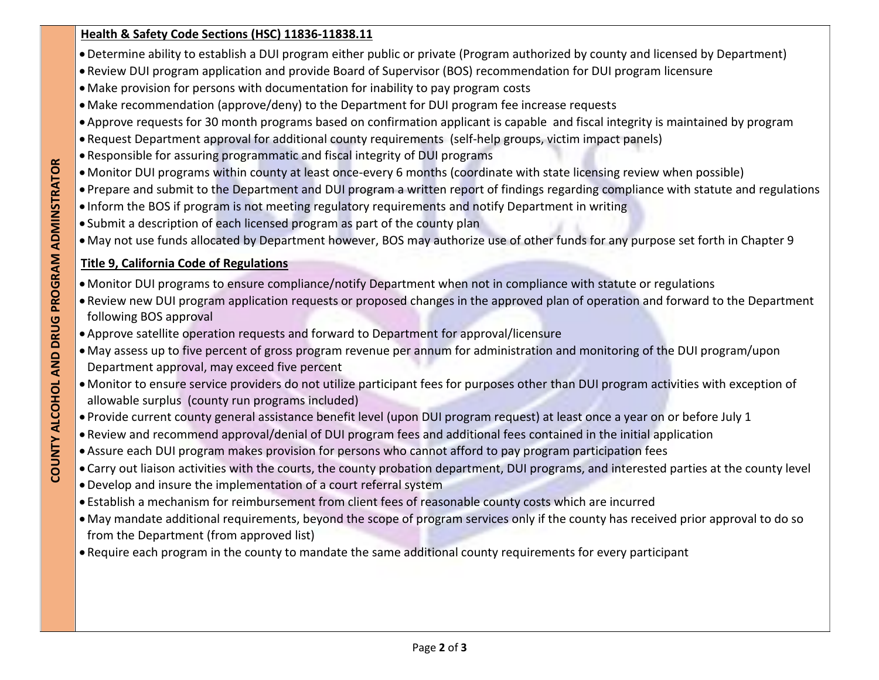### **Health & Safety Code Sections (HSC) 11836-11838.11**

- Determine ability to establish a DUI program either public or private (Program authorized by county and licensed by Department)
- Review DUI program application and provide Board of Supervisor (BOS) recommendation for DUI program licensure
- Make provision for persons with documentation for inability to pay program costs
- Make recommendation (approve/deny) to the Department for DUI program fee increase requests
- Approve requests for 30 month programs based on confirmation applicant is capable and fiscal integrity is maintained by program
- Request Department approval for additional county requirements (self-help groups, victim impact panels)
- Responsible for assuring programmatic and fiscal integrity of DUI programs
- Monitor DUI programs within county at least once-every 6 months (coordinate with state licensing review when possible)
- Prepare and submit to the Department and DUI program a written report of findings regarding compliance with statute and regulations
- Inform the BOS if program is not meeting regulatory requirements and notify Department in writing
- Submit a description of each licensed program as part of the county plan
- May not use funds allocated by Department however, BOS may authorize use of other funds for any purpose set forth in Chapter 9

# **Title 9, California Code of Regulations**

- Monitor DUI programs to ensure compliance/notify Department when not in compliance with statute or regulations
- Review new DUI program application requests or proposed changes in the approved plan of operation and forward to the Department following BOS approval
- Approve satellite operation requests and forward to Department for approval/licensure
- May assess up to five percent of gross program revenue per annum for administration and monitoring of the DUI program/upon Department approval, may exceed five percent
- Monitor to ensure service providers do not utilize participant fees for purposes other than DUI program activities with exception of allowable surplus (county run programs included)
- Provide current county general assistance benefit level (upon DUI program request) at least once a year on or before July 1
- Review and recommend approval/denial of DUI program fees and additional fees contained in the initial application
- Assure each DUI program makes provision for persons who cannot afford to pay program participation fees
- Carry out liaison activities with the courts, the county probation department, DUI programs, and interested parties at the county level
- Develop and insure the implementation of a court referral system
- Establish a mechanism for reimbursement from client fees of reasonable county costs which are incurred
- May mandate additional requirements, beyond the scope of program services only if the county has received prior approval to do so from the Department (from approved list)
- Require each program in the county to mandate the same additional county requirements for every participant